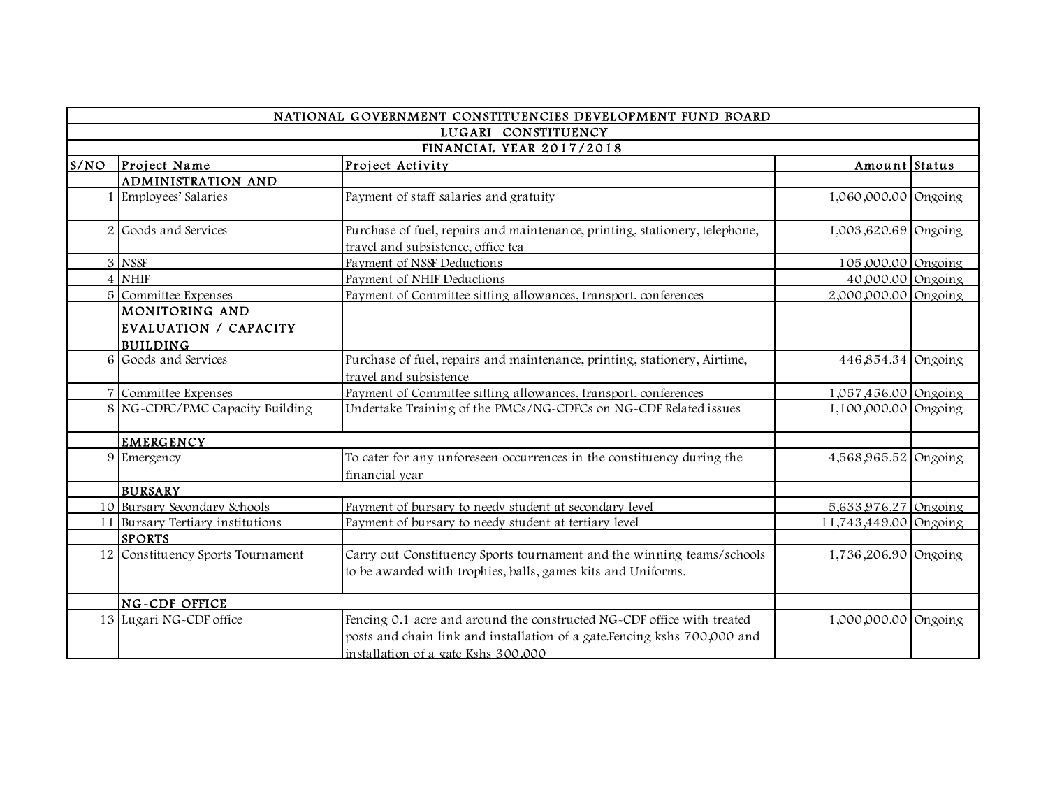|                     |                                                            | NATIONAL GOVERNMENT CONSTITUENCIES DEVELOPMENT FUND BOARD                                                                                                                                 |                       |  |  |
|---------------------|------------------------------------------------------------|-------------------------------------------------------------------------------------------------------------------------------------------------------------------------------------------|-----------------------|--|--|
| LUGARI CONSTITUENCY |                                                            |                                                                                                                                                                                           |                       |  |  |
|                     | FINANCIAL YEAR 2017/2018                                   |                                                                                                                                                                                           |                       |  |  |
| S/NO                | Project Name                                               | Project Activity                                                                                                                                                                          | Amount Status         |  |  |
|                     | <b>ADMINISTRATION AND</b>                                  |                                                                                                                                                                                           |                       |  |  |
|                     | Employees' Salaries                                        | Payment of staff salaries and gratuity                                                                                                                                                    | 1,060,000.00 Ongoing  |  |  |
| 2                   | Goods and Services                                         | Purchase of fuel, repairs and maintenance, printing, stationery, telephone,<br>travel and subsistence, office tea                                                                         | 1,003,620.69 Ongoing  |  |  |
|                     | 3 NSSF                                                     | Payment of NSSF Deductions                                                                                                                                                                | 105,000.00 Ongoing    |  |  |
|                     | 4 NHIF                                                     | Payment of NHIF Deductions                                                                                                                                                                | 40,000.00 Ongoing     |  |  |
|                     | 5 Committee Expenses                                       | Payment of Committee sitting allowances, transport, conferences                                                                                                                           | 2,000,000.00 Ongoing  |  |  |
|                     | MONITORING AND<br>EVALUATION / CAPACITY<br><b>BUILDING</b> |                                                                                                                                                                                           |                       |  |  |
|                     | 6 Goods and Services                                       | Purchase of fuel, repairs and maintenance, printing, stationery, Airtime,<br>travel and subsistence                                                                                       | 446,854.34 Ongoing    |  |  |
|                     | 7 Committee Expenses                                       | Payment of Committee sitting allowances, transport, conferences                                                                                                                           | 1,057,456.00 Ongoing  |  |  |
|                     | 8 NG-CDFC/PMC Capacity Building                            | Undertake Training of the PMCs/NG-CDFCs on NG-CDF Related issues                                                                                                                          | 1,100,000.00 Ongoing  |  |  |
|                     | <b>EMERGENCY</b>                                           |                                                                                                                                                                                           |                       |  |  |
|                     | 9 Emergency                                                | To cater for any unforeseen occurrences in the constituency during the<br>financial year                                                                                                  | 4,568,965.52 Ongoing  |  |  |
|                     | <b>BURSARY</b>                                             |                                                                                                                                                                                           |                       |  |  |
|                     | 10 Bursary Secondary Schools                               | Payment of bursary to needy student at secondary level                                                                                                                                    | 5,633,976.27 Ongoing  |  |  |
| 11                  | Bursary Tertiary institutions<br><b>SPORTS</b>             | Payment of bursary to needy student at tertiary level                                                                                                                                     | 11,743,449.00 Ongoing |  |  |
|                     | 12 Constituency Sports Tournament                          | Carry out Constituency Sports tournament and the winning teams/schools<br>to be awarded with trophies, balls, games kits and Uniforms.                                                    | 1,736,206.90 Ongoing  |  |  |
|                     | NG-CDF OFFICE                                              |                                                                                                                                                                                           |                       |  |  |
|                     | 13 Lugari NG-CDF office                                    | Fencing 0.1 acre and around the constructed NG-CDF office with treated<br>posts and chain link and installation of a gate.Fencing kshs 700,000 and<br>installation of a gate Kshs 300,000 | 1,000,000.00 Ongoing  |  |  |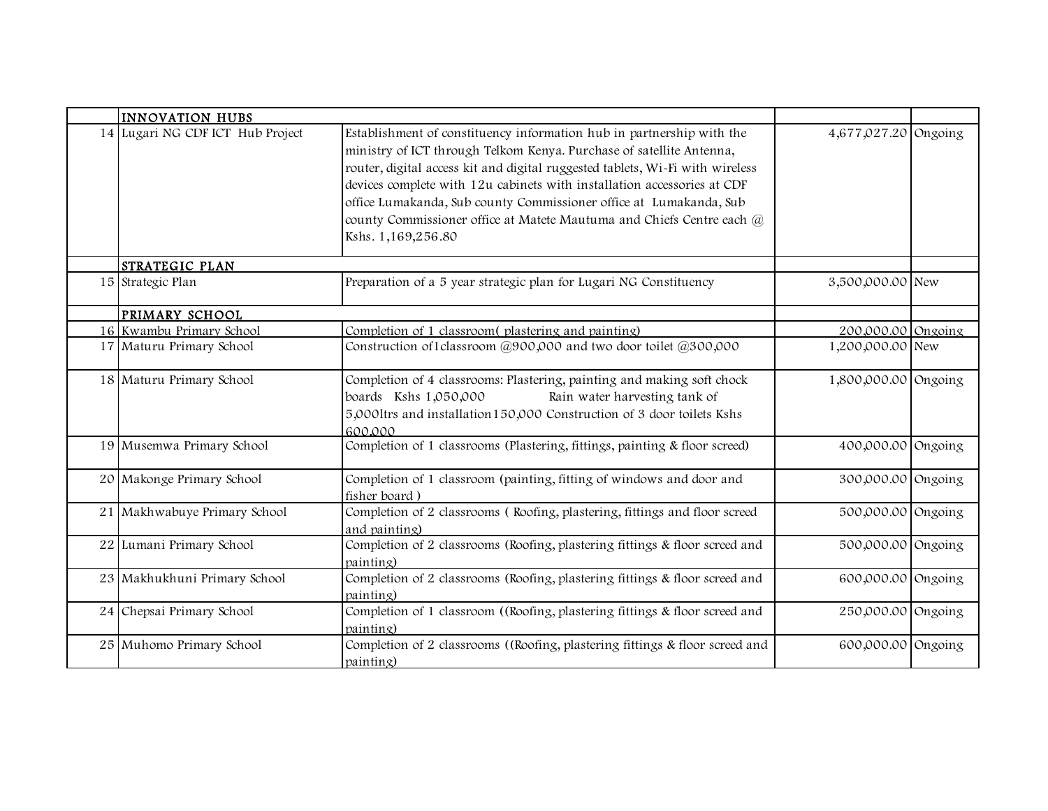| <b>INNOVATION HUBS</b>           |                                                                                                                                                                                                                                                                                                                                                                                                                                                                                |                      |  |
|----------------------------------|--------------------------------------------------------------------------------------------------------------------------------------------------------------------------------------------------------------------------------------------------------------------------------------------------------------------------------------------------------------------------------------------------------------------------------------------------------------------------------|----------------------|--|
| 14 Lugari NG CDF ICT Hub Project | Establishment of constituency information hub in partnership with the<br>ministry of ICT through Telkom Kenya. Purchase of satellite Antenna,<br>router, digital access kit and digital ruggested tablets, Wi-Fi with wireless<br>devices complete with 12u cabinets with installation accessories at CDF<br>office Lumakanda, Sub county Commissioner office at Lumakanda, Sub<br>county Commissioner office at Matete Mautuma and Chiefs Centre each @<br>Kshs. 1,169,256.80 | 4,677,027.20 Ongoing |  |
| STRATEGIC PLAN                   |                                                                                                                                                                                                                                                                                                                                                                                                                                                                                |                      |  |
| 15 Strategic Plan                | Preparation of a 5 year strategic plan for Lugari NG Constituency                                                                                                                                                                                                                                                                                                                                                                                                              | 3,500,000.00 New     |  |
| PRIMARY SCHOOL                   |                                                                                                                                                                                                                                                                                                                                                                                                                                                                                |                      |  |
| 16 Kwambu Primary School         | Completion of 1 classroom(plastering and painting)                                                                                                                                                                                                                                                                                                                                                                                                                             | 200,000.00 Ongoing   |  |
| 17 Maturu Primary School         | Construction of 1 classroom @900,000 and two door toilet @300,000                                                                                                                                                                                                                                                                                                                                                                                                              | 1,200,000.00 New     |  |
| 18 Maturu Primary School         | Completion of 4 classrooms: Plastering, painting and making soft chock<br>boards Kshs 1,050,000<br>Rain water harvesting tank of<br>5,000ltrs and installation150,000 Construction of 3 door toilets Kshs<br>600.000                                                                                                                                                                                                                                                           | 1,800,000.00 Ongoing |  |
| 19 Musemwa Primary School        | Completion of 1 classrooms (Plastering, fittings, painting & floor screed)                                                                                                                                                                                                                                                                                                                                                                                                     | 400,000.00 Ongoing   |  |
| 20 Makonge Primary School        | Completion of 1 classroom (painting, fitting of windows and door and<br>fisher board)                                                                                                                                                                                                                                                                                                                                                                                          | 300,000.00 Ongoing   |  |
| 21 Makhwabuye Primary School     | Completion of 2 classrooms (Roofing, plastering, fittings and floor screed<br>and painting)                                                                                                                                                                                                                                                                                                                                                                                    | 500,000.00 Ongoing   |  |
| 22 Lumani Primary School         | Completion of 2 classrooms (Roofing, plastering fittings & floor screed and<br>painting)                                                                                                                                                                                                                                                                                                                                                                                       | 500,000.00 Ongoing   |  |
| 23 Makhukhuni Primary School     | Completion of 2 classrooms (Roofing, plastering fittings & floor screed and<br>painting)                                                                                                                                                                                                                                                                                                                                                                                       | 600,000.00 Ongoing   |  |
| 24 Chepsai Primary School        | Completion of 1 classroom ((Roofing, plastering fittings & floor screed and<br>painting)                                                                                                                                                                                                                                                                                                                                                                                       | 250,000.00 Ongoing   |  |
| 25 Muhomo Primary School         | Completion of 2 classrooms ((Roofing, plastering fittings & floor screed and<br>painting)                                                                                                                                                                                                                                                                                                                                                                                      | 600,000.00 Ongoing   |  |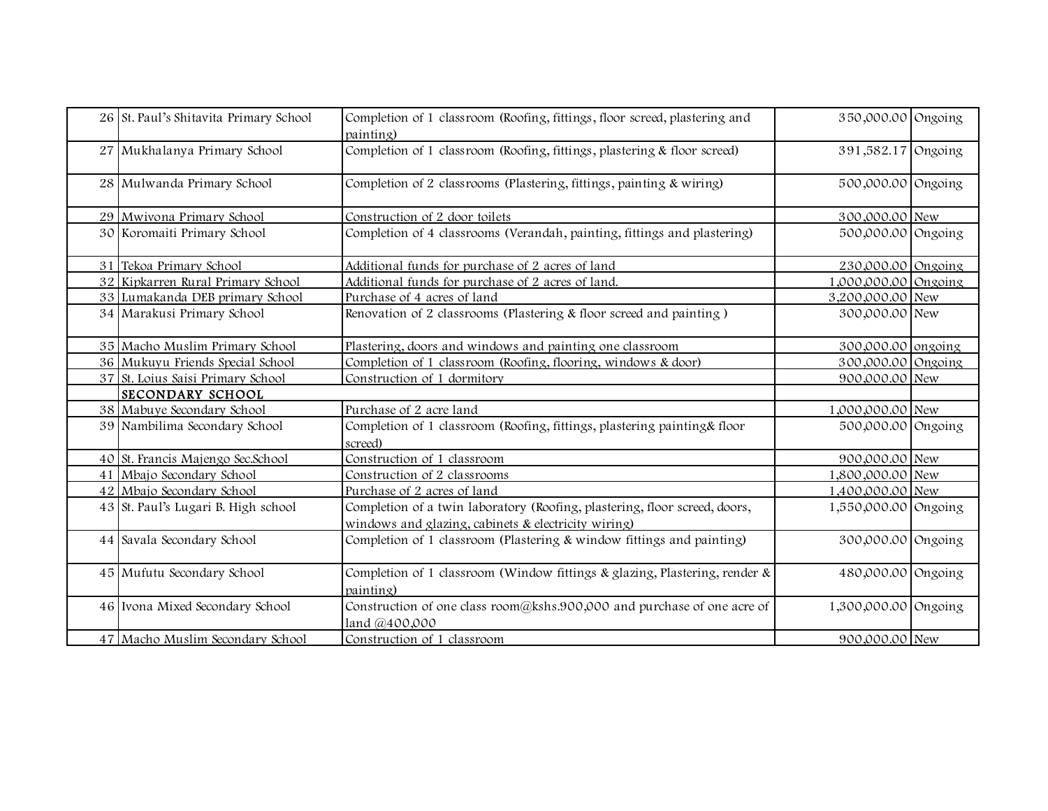| 26 St. Paul's Shitavita Primary School | Completion of 1 classroom (Roofing, fittings, floor screed, plastering and<br>painting)                                           | 350,000.00 Ongoing   |  |
|----------------------------------------|-----------------------------------------------------------------------------------------------------------------------------------|----------------------|--|
| 27 Mukhalanya Primary School           | Completion of 1 classroom (Roofing, fittings, plastering & floor screed)                                                          | 391,582.17 Ongoing   |  |
| 28 Mulwanda Primary School             | Completion of 2 classrooms (Plastering, fittings, painting & wiring)                                                              | 500,000.00 Ongoing   |  |
| 29 Mwivona Primary School              | Construction of 2 door toilets                                                                                                    | 300,000.00 New       |  |
| 30 Koromaiti Primary School            | Completion of 4 classrooms (Verandah, painting, fittings and plastering)                                                          | 500,000.00 Ongoing   |  |
| 31 Tekoa Primary School                | Additional funds for purchase of 2 acres of land                                                                                  | 230,000.00 Ongoing   |  |
| 32 Kipkarren Rural Primary School      | Additional funds for purchase of 2 acres of land.                                                                                 | 1,000,000.00 Ongoing |  |
| 33 Lumakanda DEB primary School        | Purchase of 4 acres of land                                                                                                       | 3,200,000.00 New     |  |
| 34 Marakusi Primary School             | Renovation of 2 classrooms (Plastering & floor screed and painting)                                                               | 300,000.00 New       |  |
| 35 Macho Muslim Primary School         | Plastering, doors and windows and painting one classroom                                                                          | 300,000.00 ongoing   |  |
| 36 Mukuyu Friends Special School       | Completion of 1 classroom (Roofing, flooring, windows & door)                                                                     | 300,000.00 Ongoing   |  |
| 37 St. Loius Saisi Primary School      | Construction of 1 dormitory                                                                                                       | 900,000.00 New       |  |
| <b>SECONDARY SCHOOL</b>                |                                                                                                                                   |                      |  |
| 38 Mabuye Secondary School             | Purchase of 2 acre land                                                                                                           | 1,000,000.00 New     |  |
| 39 Nambilima Secondary School          | Completion of 1 classroom (Roofing, fittings, plastering painting& floor<br>screed)                                               | 500,000.00 Ongoing   |  |
| 40 St. Francis Majengo Sec.School      | Construction of 1 classroom                                                                                                       | 900,000.00 New       |  |
| 41 Mbajo Secondary School              | Construction of 2 classrooms                                                                                                      | 1,800,000.00 New     |  |
| 42 Mbajo Secondary School              | Purchase of 2 acres of land                                                                                                       | 1,400,000.00 New     |  |
| 43 St. Paul's Lugari B. High school    | Completion of a twin laboratory (Roofing, plastering, floor screed, doors,<br>windows and glazing, cabinets & electricity wiring) | 1,550,000.00 Ongoing |  |
| 44 Savala Secondary School             | Completion of 1 classroom (Plastering & window fittings and painting)                                                             | 300,000.00 Ongoing   |  |
| 45 Mufutu Secondary School             | Completion of 1 classroom (Window fittings & glazing, Plastering, render &<br>painting)                                           | 480,000.00 Ongoing   |  |
| 46 Ivona Mixed Secondary School        | Construction of one class room@kshs.900,000 and purchase of one acre of<br>land @400,000                                          | 1,300,000.00 Ongoing |  |
| 47 Macho Muslim Secondary School       | Construction of 1 classroom                                                                                                       | 900,000.00 New       |  |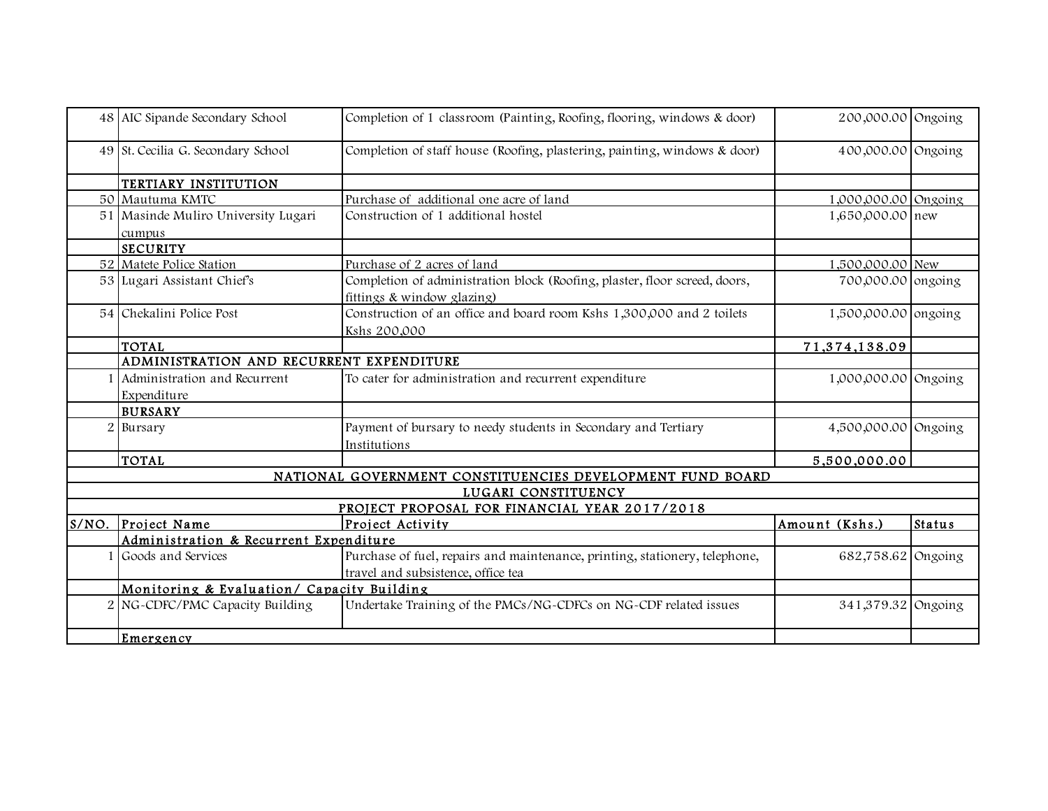|                | 48 AIC Sipande Secondary School               | Completion of 1 classroom (Painting, Roofing, flooring, windows & door)     | 200,000.00 Ongoing   |               |  |  |
|----------------|-----------------------------------------------|-----------------------------------------------------------------------------|----------------------|---------------|--|--|
|                | 49 St. Cecilia G. Secondary School            | Completion of staff house (Roofing, plastering, painting, windows & door)   | 400,000.00 Ongoing   |               |  |  |
|                | TERTIARY INSTITUTION                          |                                                                             |                      |               |  |  |
|                | 50 Mautuma KMTC                               | Purchase of additional one acre of land                                     | 1,000,000.00 Ongoing |               |  |  |
|                | 51 Masinde Muliro University Lugari           | Construction of 1 additional hostel                                         | 1,650,000.00 new     |               |  |  |
|                | cumpus                                        |                                                                             |                      |               |  |  |
|                | <b>SECURITY</b>                               |                                                                             |                      |               |  |  |
|                | 52 Matete Police Station                      | Purchase of 2 acres of land                                                 | 1,500,000.00 New     |               |  |  |
|                | 53 Lugari Assistant Chief's                   | Completion of administration block (Roofing, plaster, floor screed, doors,  | 700,000.00 ongoing   |               |  |  |
|                |                                               | fittings & window glazing)                                                  |                      |               |  |  |
|                | 54 Chekalini Police Post                      | Construction of an office and board room Kshs 1,300,000 and 2 toilets       | 1,500,000.00 ongoing |               |  |  |
|                |                                               | Kshs 200,000                                                                |                      |               |  |  |
|                | <b>TOTAL</b>                                  |                                                                             | 71,374,138.09        |               |  |  |
|                | ADMINISTRATION AND RECURRENT EXPENDITURE      |                                                                             |                      |               |  |  |
|                | Administration and Recurrent                  | To cater for administration and recurrent expenditure                       | 1,000,000.00 Ongoing |               |  |  |
|                | Expenditure                                   |                                                                             |                      |               |  |  |
|                | <b>BURSARY</b>                                |                                                                             |                      |               |  |  |
| $\overline{2}$ | Bursary                                       | Payment of bursary to needy students in Secondary and Tertiary              | 4,500,000.00 Ongoing |               |  |  |
|                |                                               | Institutions                                                                |                      |               |  |  |
|                | <b>TOTAL</b>                                  |                                                                             | 5,500,000.00         |               |  |  |
|                |                                               | NATIONAL GOVERNMENT CONSTITUENCIES DEVELOPMENT FUND BOARD                   |                      |               |  |  |
|                |                                               | LUGARI CONSTITUENCY                                                         |                      |               |  |  |
|                | PROJECT PROPOSAL FOR FINANCIAL YEAR 2017/2018 |                                                                             |                      |               |  |  |
| S/NO.          | Project Name                                  | Project Activity                                                            | Amount (Kshs.)       | <b>Status</b> |  |  |
|                | Administration & Recurrent Expenditure        |                                                                             |                      |               |  |  |
|                | Goods and Services                            | Purchase of fuel, repairs and maintenance, printing, stationery, telephone, | 682,758.62 Ongoing   |               |  |  |
|                |                                               | travel and subsistence, office tea                                          |                      |               |  |  |
|                | Monitoring & Evaluation/ Capacity Building    |                                                                             |                      |               |  |  |
|                | NG-CDFC/PMC Capacity Building                 | Undertake Training of the PMCs/NG-CDFCs on NG-CDF related issues            | 341,379.32 Ongoing   |               |  |  |
|                | Emergency                                     |                                                                             |                      |               |  |  |